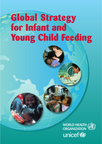# **Young Child Feeding Global Strategy for Infant and**



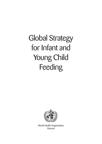# Global Strategy for Infant and Young Child **Feeding**



World Health Organization Geneva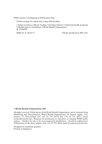WHO Library Cataloguing-in-Publication Data

Global strategy for infant and young child feeding.

1.Infant nutrition 2.Breast feeding 3.Feeding behavior 4.National health programs 5.Health policy 6.Guidelines I.World Health Organization II. UNICEF

ISBN 92 4 156221 8 (NLM classification: WS 120)

#### **© World Health Organization 2003**

All rights reserved. Publications of the World Health Organization can be obtained from Marketing and Dissemination, World Health Organization, 20 Avenue Appia, 1211 Geneva 27, Switzerland (tel: +41 22 791 2476; fax: +41 22 791 4857; email: bookorders@who.int). Requests for permission to reproduce or translate WHO publications – whether for sale or for noncommercial distribution – should be addressed to Publications, at the above address (fax:  $+41$  22 791 4806; email: permissions@who.int).

Designed by minimum graphics Printed in Singapore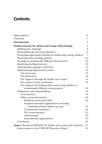# **Contents**

| Abbreviations                                                | iv             |
|--------------------------------------------------------------|----------------|
| Foreword                                                     | $\mathbf{V}$   |
| <b>Introduction</b>                                          | 1              |
| Global strategy for infant and young child feeding           | 5              |
| Defining the challenge                                       | 5              |
| Determining the aim and objectives                           | 6              |
| Promoting appropriate feeding for infants and young children | $\overline{7}$ |
| Exercising other feeding options                             | 10             |
| Feeding in exceptionally difficult circumstances             | 10             |
| Improving feeding practices                                  | 12             |
| Achieving the strategy's objectives                          | 13             |
| Implementing high-priority action                            | 15             |
| For protection                                               | 16             |
| For promotion                                                | 16             |
| For support through the health care system                   | 16             |
| For support in the community                                 | 18             |
| For support for feeding infants and young children in        |                |
| exceptionally difficult circumstances                        | 18             |
| Obligations and responsibilities                             | 19             |
| Governments                                                  | 19             |
| Other concerned parties                                      | 20             |
| Health professional bodies                                   | 20             |
| Nongovernmental organizations including                      |                |
| community-based support groups                               | 21             |
| Commercial enterprises                                       | 22             |
| The social partners                                          | 23             |
| Other groups                                                 | 23             |
| International organizations                                  | 23             |
| Conclusion                                                   | 25             |
| Annex Resolution WHA55.25, Infant and young child nutrition  | 27             |
| Endorsement of the UNICEF Executive Board                    | 30             |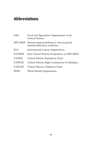# **Abbreviations**

| FAO           | Food and Agriculture Organization of the<br><b>United Nations</b>           |
|---------------|-----------------------------------------------------------------------------|
|               | HIV/AIDS Human immunodeficiency virus/acquired<br>immunodeficiency syndrome |
| <b>ILO</b>    | International Labour Organization                                           |
| <b>UNAIDS</b> | Joint United Nations Programme on HIV/AIDS                                  |
| <b>UNFPA</b>  | United Nations Population Fund                                              |
| <b>UNHCR</b>  | United Nations High Commission for Refugees                                 |
| <b>UNICEF</b> | United Nations Children's Fund                                              |
| <b>WHO</b>    | World Health Organization                                                   |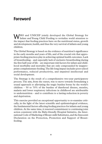# **Foreword**

WHO and UNICEF jointly developed the Global Strategy for **V** Infant and Young Child Feeding to revitalize world attention to the impact that feeding practices have on the nutritional status, growth and development, health, and thus the very survival of infants and young children.

The Global Strategy is based on the evidence of nutrition's significance in the early months and years of life, and of the crucial role that appropriate feeding practices play in achieving optimal health outcomes. Lack of breastfeeding – and especially lack of exclusive breastfeeding during the first half-year of life – are important risk factors for infant and childhood morbidity and mortality that are only compounded by inappropriate complementary feeding. The life-long impact includes poor school performance, reduced productivity, and impaired intellectual and social development.

The Strategy is the result of a comprehensive two-year participatory process. The aim, from the outset, was to move towards formulating a sound approach to alleviating the tragic burden borne by the world's children  $-50$  to  $70\%$  of the burden of diarrhoeal disease, measles, malaria and lower respiratory infections in childhood are attributable to undernutrition – and to contribute to a lasting reduction in poverty and deprivation.

This exercise provided an exceptional opportunity to re-examine critically, in the light of the latest scientific and epidemiological evidence, the fundamental factors affecting feeding practices for infants and young children. At the same time, it renewed commitment to continuing joint action consistent with the Baby-friendly Hospital Initiative, the International Code of Marketing of Breast-milk Substitutes, and the Innocenti Declaration on the Protection, Promotion and Support of Breastfeeding.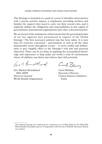The Strategy is intended as a *guide for action*; it identifies interventions with a proven positive impact, it emphasizes providing mothers and families the support they need to carry out their crucial roles, and it explicitly defines the obligations and responsibilities in this regard of governments, international organizations and other concerned parties.

We are proud of the unanimous endorsement that the governing bodies of our two agencies have pronounced in support of the Global Strategy.<sup>1</sup> The first necessary political step has been taken. It is now time for everyone concerned – governments as well as all the other innumerable actors throughout society – to move swiftly and deliberately to give tangible effect to the Strategy's vital aim and practical objectives. There can be no delay in applying the accumulated knowledge and experience to help make our world a truly fit environment where *all* children can thrive and achieve their full potential.

Groll. Briddles

Gro Harlem Brundtland Carol Bellamy MD, MPH Executive Director Director-General United Nations Children's World Health Organization Fund

 $C - 1BL$ 

<sup>&</sup>lt;sup>1</sup> The Global Strategy was endorsed, by consensus, on 18 May 2002 by the Fifty-fifth World Health Assembly, and on 16 September 2002 by the UNICEF Executive Board (see annex).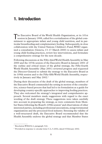# **1. Introduction**

The Executive Board of the World Health Organization, at its 101st session in January 1998, called for a revitalization of the global commitment to appropriate infant and young child nutrition, and in particular breastfeeding and complementary feeding. Subsequently, in close collaboration with the United Nations Children's Fund, WHO organized a consultation (Geneva, 13–17 March 2000) to assess infant and young child feeding practices, review key interventions, and formulate a comprehensive strategy for the next decade.

Following discussions at the Fifty-third World Health Assembly in May 2000 and the 107th session of the Executive Board in January 2001 of the outline and critical issues of the global strategy, the Fifty-fourth World Health Assembly (May 2001) reviewed progress and requested the Director-General to submit the strategy to the Executive Board at its 109th session and to the Fifty-fifth World Health Assembly, respectively in January and May 2002.<sup>1</sup>

During their discussion of the draft of the global strategy, members of the Executive Board commended the setting in motion of the consultative, science-based process that had led to its formulation as a guide for developing country-specific approaches to improving feeding practices. They also welcomed the strategy's integrated and comprehensive approach. Several members made suggestions with regard to the exact wording of the draft strategy. These suggestions were taken carefully into account in preparing the strategy, as were comments from Member States following the Board's 109th session<sup>2</sup> and observations of other interested parties, including professional associations, nongovernmental organizations and the processed-food industry. Stressing the validity of a well-structured draft, the Executive Board recommended that the Health Assembly endorse the global strategy and that Member States

<sup>&</sup>lt;sup>1</sup> Resolution WHA54.2, paragraph  $3(6)$ .

<sup>2</sup> Provided in response to circular letter C.L.5.2002, dated 8 February 2002.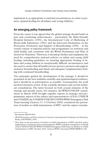implement it, as appropriate to national circumstances, in order to promote optimal feeding for all infants and young children.<sup>1</sup>

# **An emerging policy framework**

From the outset it was agreed that the global strategy should build on past and continuing achievements – particularly the Baby-friendly Hospital Initiative (1991), the International Code of Marketing of Breast-milk Substitutes (1981) and the Innocenti Declaration on the Protection, Promotion and Support of Breastfeeding (1990) – in the overall context of national policies and programmes on nutrition and child health, and consistent with the World Declaration and Plan of Action for Nutrition.2 However, it should go further and emphasize the need for comprehensive national policies on infant and young child feeding, including guidelines on ensuring appropriate feeding of infants and young children in exceptionally difficult circumstances, and the need to ensure that all health services protect, promote and support exclusive breastfeeding and timely and adequate complementary feeding with continued breastfeeding.

Two principles guided the development of the strategy: it should be grounded on the best available scientific and epidemiological evidence, and it should be as participatory as possible. Consequently, the work involved extensive review of the scientific literature and several technical consultations. The latter focused on both crucial elements of the strategy and specific issues. For instance, the WHO/UNICEF consultation in March 2000 brought together experts in strategic and programmatic aspects of the subject and representatives of ILO, UNHCR and UNAIDS; the UNAIDS/UNICEF/UNFPA/WHO Interagency Task Team meeting (Geneva, 11–13 October 2000) considered the prevention of mother-to-child transmission of HIV;<sup>3</sup> and the expert consulta-

<sup>&</sup>lt;sup>1</sup> Resolution EB109.R18.

<sup>2</sup> *World Declaration and Plan of Action for Nutrition*. International Conference on Nutrition, Rome, FAO/WHO, 1992.

<sup>&</sup>lt;sup>3</sup> New data on the prevention of mother-to-child transmission of HIV and their policy implications: conclusions and recommendations. WHO technical consultation on behalf of the UNFPA/UNICEF/WHO/UNAIDS Interagency Task Team on Mother-to-Child Transmission of HIV, October 2001, Geneva, WHO (document WHO/RHR/01.28).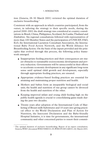tion (Geneva, 28–30 March 2001) reviewed the optimal duration of exclusive breastfeeding.<sup>1</sup>

Consistent with an approach in which countries participated, from the outset, in tailoring the strategy to their specific needs, during the period 2000–2001 the draft strategy was considered at country consultations in Brazil, China, Philippines, Scotland, Sri Lanka, Thailand and Zimbabwe. Six regional consultations followed with representatives of more than 100 Member States and the participation of UNICEF, FAO, ILO, the International Lactation Consultant Association, the International Baby Food Action Network, and the World Alliance for Breastfeeding Action. On the basis of the inputs provided and the principles that evolved through this process, the following policy framework emerged.

- Inappropriate feeding practices and their consequences are major obstacles to sustainable socioeconomic development and poverty reduction. Governments will be unsuccessful in their efforts to accelerate economic development in any significant long-term sense until optimal child growth and development, especially through appropriate feeding practices, are ensured.
- Appropriate evidence-based feeding practices are essential for attaining and maintaining proper nutrition and health.
- Mothers and babies form an inseparable biological and social unit; the health and nutrition of one group cannot be divorced from the health and nutrition of the other.
- Keeping improved infant and young child feeding high on the public health agenda is crucial to consolidating gains made during the past two decades.
- Twenty years after adoption of the International Code of Marketing of Breast-milk Substitutes and 10 years into giving practical effect to the World Declaration and Plan of Action for Nutrition, the Innocenti Declaration and the Baby-friendly Hospital Initiative, it is time for governments, the international community and other concerned parties to renew their commit-

 $1$ <sup>1</sup> The optimal duration of exclusive breastfeeding. Report of an expert consultation. Geneva, WHO (document WHO/NHD/01.09, WHO/FCH/CAH/01.24) March 2001.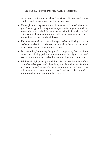ment to promoting the health and nutrition of infants and young children and to work together for this purpose.

- Although not every component is new, what is novel about the global strategy is its *integrated comprehensive approach* and the *degree of urgency* called for in implementing it, in order to deal effectively with so elementary a challenge as ensuring appropriate feeding for the world's children.
- The most rational and economical approach to achieving the strategy's aim and objectives is to use *existing* health and intersectoral structures, reinforced where necessary.
- Success in implementing the global strategy rests, first and foremost, on achieving political commitment at the highest level and assembling the indispensable human and financial resources.
- Additional high-priority conditions for success include definition of suitable goals and objectives, a realistic timeline for their achievement, and measurable process and output indicators that will permit an accurate monitoring and evaluation of action taken and a rapid response to identified needs.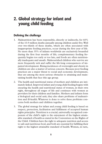# **2. Global strategy for infant and young child feeding**

## **Defining the challenge**

- 1. Malnutrition has been responsible, directly or indirectly, for 60% of the 10.9 million deaths annually among children under five. Well over two-thirds of these deaths, which are often associated with inappropriate feeding practices, occur during the first year of life. No more than 35% of infants worldwide are exclusively breastfed during the first four months of life; complementary feeding frequently begins too early or too late, and foods are often nutritionally inadequate and unsafe. Malnourished children who survive are more frequently sick and suffer the life-long consequences of impaired development. Rising incidences of overweight and obesity in children are also a matter of serious concern. Because poor feeding practices are a major threat to social and economic development, they are among the most serious obstacles to attaining and maintaining health that face this age group.
- 2. The health and nutritional status of mothers and children are intimately linked. Improved infant and young child feeding begins with ensuring the health and nutritional status of women, in their own right, throughout all stages of life and continues with women as providers for their children and families. Mothers and infants form a biological and social unit; they also share problems of malnutrition and ill-health. Whatever is done to solve these problems concerns both mothers and children together.
- 3. The global strategy for infant and young child feeding is based on respect, protection, facilitation and fulfilment of accepted human rights principles. Nutrition is a crucial, universally recognized component of the child's right to the enjoyment of the highest attainable standard of health as stated in the Convention on the Rights of the Child. Children have the right to adequate nutrition and access to safe and nutritious food, and both are essential for fulfilling their right to the highest attainable standard of health. Women, in turn,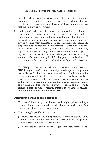have the right to proper nutrition, to decide how to feed their children, and to full information and appropriate conditions that will enable them to carry out their decisions. These rights are not yet realized in many environments.

- 4. Rapid social and economic change only intensifies the difficulties that families face in properly feeding and caring for their children. Expanding urbanization results in more families that depend on informal or intermittent employment with uncertain incomes and few or no maternity benefits. Both self-employed and nominally employed rural women face heavy workloads, usually with no maternity protection. Meanwhile, traditional family and community support structures are being eroded, resources devoted to supporting health- and, especially, nutrition-related, services are dwindling, accurate information on optimal feeding practices is lacking, and the number of food-insecure rural and urban households is on the rise.
- 5. The HIV pandemic and the risk of mother-to-child transmission of HIV through breastfeeding pose unique challenges to the promotion of breastfeeding, even among unaffected families. Complex emergencies, which are often characterized by population displacement, food insecurity and armed conflict, are increasing in number and intensity, further compromising the care and feeding of infants and young children the world over. Refugees and internally displaced persons alone currently number more than 40 million, including 5.5 million under-five children.

# **Determining the aim and objectives**

- 6. The *aim* of this strategy is to improve through optimal feeding the nutritional status, growth and development, health, and thus the survival of infants and young children.
- 7. The strategy's specific *objectives* are:
	- to raise awareness of the main problems affecting infant and young child feeding, identify approaches to their solution, and provide a framework of essential interventions;
	- to increase the commitment of governments, international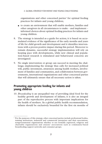2. GLOBAL STRATEGY FOR INFANT AND YOUNG CHILD FEEDING

organizations and other concerned parties<sup>1</sup> for optimal feeding practices for infants and young children;

- $\bullet$  to create an environment that will enable mothers, families and other caregivers in all circumstances to make – and implement – informed choices about optimal feeding practices for infants and young children.
- 8. The strategy is intended as a guide for action; it is based on accumulated evidence of the significance of the early months and years of life for child growth and development and it identifies interventions with a proven positive impact during this period. Moreover to remain dynamic, successful strategy implementation will rely on keeping pace with developments, while new clinical and population-based research is stimulated and behavioural concerns are investigated.
- 9. No single intervention or group can succeed in meeting the challenge; implementing the strategy thus calls for increased political will, public investment, awareness among health workers, involvement of families and communities, and collaboration between governments, international organizations and other concerned parties that will ultimately ensure that all necessary action is taken.

## **Promoting appropriate feeding for infants and young children**

10. *Breastfeeding* is an unequalled way of providing ideal food for the healthy growth and development of infants; it is also an integral part of the reproductive process with important implications for the health of mothers. As a global public health recommendation, infants should be exclusively breastfed for the first six months of

<sup>&</sup>lt;sup>1</sup> For the purposes of this strategy, other concerned parties include professional bodies, training institutions, industrial and commercial enterprises and their associations, nongovernmental organizations whether or not formally registered, religious and charitable organizations and citizens' associations such as community-based breastfeeding support networks and consumer groups.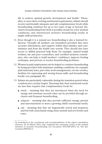life to achieve optimal growth, development and health.<sup>1</sup> Thereafter, to meet their evolving nutritional requirements, infants should receive nutritionally adequate and safe complementary foods while breastfeeding continues for up to two years of age or beyond. Exclusive breastfeeding from birth is possible except for a few medical conditions, and unrestricted exclusive breastfeeding results in ample milk production.

- 11. Even though it is a natural act, breastfeeding is also a learned behaviour. Virtually all mothers can breastfeed provided they have accurate information, and support within their families and communities and from the health care system. They should also have access to skilled practical help from, for example, trained health workers, lay and peer counsellors, and certified lactation consultants, who can help to build mothers' confidence, improve feeding technique, and prevent or resolve breastfeeding problems.
- 12. Women in paid employment can be helped to continue breastfeeding by being provided with minimum enabling conditions, for example paid maternity leave, part-time work arrangements, on-site crèches, facilities for expressing and storing breast milk, and breastfeeding breaks (see paragraph 28).
- 13. Infants are particularly vulnerable during the transition period when *complementary feeding* begins. Ensuring that their nutritional needs are met thus requires that complementary foods be:
	- *timely* meaning that they are introduced when the need for energy and nutrients exceeds what can be provided through exclusive and frequent breastfeeding;
	- *adequate* meaning that they provide sufficient energy, protein and micronutrients to meet a growing child's nutritional needs;
	- *safe* meaning that they are hygienically stored and prepared, and fed with clean hands using clean utensils and not bottles and teats;

 $<sup>1</sup>$  As formulated in the conclusions and recommendations of the expert consultation</sup> (Geneva, 28–30 March 2001) that completed the systematic review of the optimal duration of exclusive breastfeeding (see document A54/INF.DOC./4). See also resolution WHA54.2.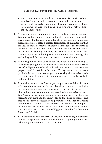#### 2. GLOBAL STRATEGY FOR INFANT AND YOUNG CHILD FEEDING

- *properly fed* meaning that they are given consistent with a child's signals of appetite and satiety, and that meal frequency and feeding method – actively encouraging the child, even during illness, to consume sufficient food using fingers, spoon or self-feeding – are suitable for age.
- 14. Appropriate complementary feeding depends on accurate *information* and skilled support from the family, community and health care system. Inadequate knowledge about appropriate foods and feeding practices is often a greater determinant of malnutrition than the lack of food. Moreover, diversified approaches are required to ensure access to foods that will adequately meet energy and nutrient needs of growing children, for example use of home- and community-based technologies to enhance nutrient density, bioavailability and the micronutrient content of local foods.
- 15. Providing sound and culture-specific nutrition counselling to mothers of young children and recommending the widest possible use of indigenous foodstuffs will help ensure that *local foods* are prepared and fed safely in the home. The agriculture sector has a particularly important role to play in ensuring that suitable foods for use in complementary feeding are produced, readily available and affordable.
- 16. In addition, *low-cost complementary foods*, prepared with locally available ingredients using suitable small-scale production technologies in community settings, can help to meet the nutritional needs of older infants and young children. *Industrially processed complementary foods* also provide an option for some mothers who have the means to buy them and the knowledge and facilities to prepare and feed them safely. Processed-food products for infants and young children should, when sold or otherwise distributed, meet applicable standards recommended by the Codex Alimentarius Commission and also the Codex Code of Hygienic Practice for Foods for Infants and Children.
- 17. *Food fortification* and universal or targeted *nutrient supplementation* may also help to ensure that older infants and young children receive adequate amounts of micronutrients.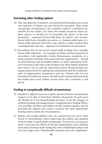# **Exercising other feeding options**

- 18. The vast majority of mothers can and should breastfeed, just as the vast majority of infants can and should be breastfed. Only under exceptional circumstances can a mother's milk be considered unsuitable for her infant. For those few health situations where infants cannot, or should not, be breastfed, the choice of the best alternative – expressed breast milk from an infant's own mother, breast milk from a healthy wet-nurse or a human-milk bank, or a breast-milk substitute fed with a cup, which is a safer method than a feeding bottle and teat – depends on individual circumstances.
- 19. For infants who do not receive breast milk, feeding with a suitable breast-milk substitute – for example an infant formula prepared in accordance with applicable Codex Alimentarius standards, or a home-prepared formula with micronutrient supplements – should be demonstrated only by health workers, or other community workers if necessary, and only to the mothers and other family members who need to use it; and the information given should include adequate instructions for appropriate preparation and the health hazards of inappropriate preparation and use. Infants who are not breastfed, for whatever reason, should receive special attention from the health and social welfare system since they constitute a risk group.

# **Feeding in exceptionally difficult circumstances**

- 20. Families in *difficult situations* require special attention and practical support to be able to feed their children adequately. In such cases the likelihood of not breastfeeding increases, as do the dangers of artificial feeding and inappropriate complementary feeding. Wherever possible, mothers and babies should remain together and be provided the support they need to exercise the most appropriate feeding option under the circumstances.
- 21. Infants and young children who are *malnourished* are most often found in environments where improving the quality and quantity of food intake is particularly problematic. To prevent a recurrence and to overcome the effects of chronic malnutrition, these children need extra attention both during the early rehabilitation phase and over the longer term. Nutritionally adequate and safe complemen-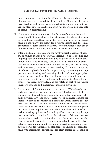#### 2. GLOBAL STRATEGY FOR INFANT AND YOUNG CHILD FEEDING

tary foods may be particularly difficult to obtain and dietary supplements may be required for these children. Continued frequent breastfeeding and, when necessary, relactation are important preventive steps since malnutrition often has its origin in inadequate or disrupted breastfeeding.

- 22. The proportion of infants with *low birth weight* varies from 6% to more than 28% depending on the setting. Most are born at or near term and can breastfeed within the first hour after birth. Breast milk is particularly important for preterm infants and the small proportion of term infants with very low birth weight; they are at increased risk of infection, long-term ill-health and death.
- 23. Infants and children are among the most vulnerable victims of natural or human-induced *emergencies*. Interrupted breastfeeding and inappropriate complementary feeding heighten the risk of malnutrition, illness and mortality. Uncontrolled distribution of breastmilk substitutes, for example in refugee settings, can lead to early and unnecessary cessation of breastfeeding. For the vast majority of infants emphasis should be on protecting, promoting and supporting breastfeeding and ensuring timely, safe and appropriate complementary feeding. There will always be a small number of infants who have to be fed on breast-milk substitutes. Suitable substitutes, procured, distributed and fed safely as part of the regular inventory of foods and medicines, should be provided.
- 24. An estimated 1.6 million children are born to *HIV-infected women* each year, mainly in low-income countries. The absolute risk of HIV transmission through breastfeeding for more than one year – globally between 10% and 20% – needs to be balanced against the increased risk of morbidity and mortality when infants are not breastfed. All HIV-infected mothers should receive counselling, which includes provision of general information about meeting their own nutritional requirements and about the risks and benefits of various feeding options, and specific guidance in selecting the option most likely to be suitable for their situation. Adequate *replacement feeding* is needed for infants born to HIV-positive mothers who choose not to breastfeed. It requires a suitable breast-milk substitute, for example an infant formula prepared in accordance with applicable Codex Alimentarius standards, or a home-prepared formula with micronutrient supplements. Heat-treated breast milk, or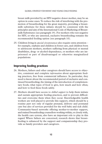breast milk provided by an HIV-negative donor mother, may be an option in some cases. To reduce the risk of interfering with the promotion of breastfeeding for the great majority, providing a breastmilk substitute for these infants should be consistent with the principles and aim of the International Code of Marketing of Breastmilk Substitutes (see paragraph 19). For mothers who test negative for HIV, or who are untested, exclusive breastfeeding remains the recommended feeding option (see paragraph 10).

25. Children living in *special circumstances* also require extra attention – for example, orphans and children in foster care, and children born to adolescent mothers, mothers suffering from physical or mental disabilities, drug- or alcohol-dependence, or mothers who are imprisoned or part of disadvantaged or otherwise marginalized populations.

## **Improving feeding practices**

- 26. Mothers, fathers and other caregivers should have access to objective, consistent and complete *information* about appropriate feeding practices, free from commercial influence. In particular, they need to know about the recommended period of exclusive and continued breastfeeding; the timing of the introduction of complementary foods; what types of food to give, how much and how often; and how to feed these foods safely.
- 27. Mothers should have access to *skilled support* to help them initiate and sustain appropriate feeding practices, and to prevent difficulties and overcome them when they occur. Knowledgeable health workers are well placed to provide this support, which should be a routine part not only of regular prenatal, delivery and postnatal care but also of services provided for the well baby and sick child. Community-based networks offering mother-to-mother support, and trained breastfeeding counsellors working within, or closely with, the health care system, also have an important role to play in this regard. Where fathers are concerned, research shows that breastfeeding is enhanced by the support and companionship they provide as family providers and caregivers.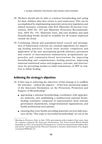#### 2. GLOBAL STRATEGY FOR INFANT AND YOUNG CHILD FEEDING

- 28. Mothers should also be able to continue breastfeeding and caring for their children after they return to *paid employment*. This can be accomplished by implementing maternity protection legislation and related measures consistent with ILO Maternity Protection Convention, 2000 No. 183 and Maternity Protection Recommendation, 2000 No. 191. Maternity leave, day-care facilities and paid breastfeeding breaks should be available for all women employed outside the home.
- 29. Continuing clinical and population-based *research* and investigation of behavioural concerns are essential ingredients for improving feeding practices. Crucial areas include completion and application of the new international growth reference, prevention and control of micronutrient malnutrition, programmatic approaches and community-based interventions for improving breastfeeding and complementary feeding practices, improving maternal nutritional status and pregnancy outcome, and interventions for preventing mother-to-child transmission of HIV in relation to infant feeding.

# **Achieving the strategy's objectives**

- 30. A first step to achieving the objectives of this strategy is to reaffirm the relevance – indeed the urgency – of the four operational targets of the Innocenti Declaration on the Protection, Promotion and Support of Breastfeeding:<sup>1</sup>
	- appointing a national breastfeeding coordinator with appropriate authority, and establishing a multisectoral national breastfeeding committee composed of representatives from relevant government departments, nongovernmental organizations, and health professional associations;
	- ensuring that every facility providing maternity services fully practices all the "Ten steps to successful breastfeeding" set out in the

 $1$  Meeting in Florence, Italy, in July 1990, government policy-makers from more than 30 countries adopted the Innocenti Declaration. The Forty-fourth World Health Assembly, in 1991, welcomed the Declaration as "a basis for international health policy and action" and requested the Director-General to monitor achievement of its targets (resolution WHA44.33).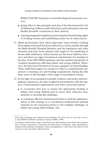WHO/UNICEF statement on breastfeeding and maternity services;<sup>1</sup>

- giving effect to the principles and aim of the International Code of Marketing of Breast-milk Substitutes and subsequent relevant Health Assembly resolutions in their entirety;
- enacting imaginative legislation protecting the breastfeeding rights of working women and establishing means for its enforcement.
- 31. Many governments have taken important steps towards realizing these targets and much has been achieved as a result, notably through the Baby-friendly Hospital Initiative and the legislation and other measures that have been adopted with regard to the marketing of breast-milk substitutes. Achievements are far from uniform, however, and there are signs of weakened commitment, for example in the face of the HIV/AIDS pandemic and the number and gravity of complex emergencies affecting infants and young children. Moreover, the Innocenti Declaration focuses uniquely on breastfeeding. Thus, additional targets are needed to reflect a comprehensive approach to meeting care and feeding requirements during the first three years of life through a wide range of interrelated actions.
- 32. In the light of accumulated scientific evidence, and policy and programme experience, the time is right for governments, with the support of international organizations and other concerned parties:
	- to reconsider how best to ensure the appropriate feeding of infants and young children and to renew their collective commitment to meeting this challenge;
	- to constitute effective broad-based bodies to lead the implementation of this strategy as a coordinated multisectoral national response by all concerned parties to the multiple challenges of infant and young child feeding;<sup>2</sup> and

<sup>1</sup> *Protecting, promoting and supporting breastfeeding: the special role of maternity services*. A joint WHO/UNICEF statement. Geneva, WHO, 1989.

 $2^2$  Consistent with the first target of the Innocenti Declaration, more than 100 countries have already appointed a national breastfeeding coordinator and established a multisectoral national committee. These arrangements could form the basis for the creation of the new body called for here.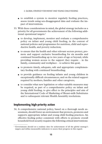- to establish a system to monitor regularly feeding practices, assess trends using sex-disaggregated data and evaluate the impact of interventions.
- 33. With these considerations in mind, the global strategy includes as a priority for all governments the achievement of the following additional operational targets:<sup>1</sup>
	- to develop, implement, monitor and evaluate a comprehensive policy on infant and young child feeding, in the context of national policies and programmes for nutrition, child and reproductive health, and poverty reduction;
	- to ensure that the health and other relevant sectors protect, promote and support exclusive breastfeeding for six months and continued breastfeeding up to two years of age or beyond, while providing women access to the support they require – in the family, community and workplace – to achieve this goal;
	- to promote timely, adequate, safe and appropriate complementary feeding with continued breastfeeding;
	- to provide guidance on feeding infants and young children in exceptionally difficult circumstances, and on the related support required by mothers, families and other caregivers;
	- to consider what new legislation or other suitable measures may be required, as part of a comprehensive policy on infant and young child feeding, to give effect to the principles and aim of the International Code of Marketing of Breast-milk Substitutes and to subsequent relevant Health Assembly resolutions.

# **Implementing high-priority action**

34. A comprehensive national policy, based on a thorough needs assessment, should foster an environment that protects, promotes and supports appropriate infant and young child feeding practices. An effective feeding policy consistent with efforts to promote overall household food security requires the following critical interventions:

 $1$  Governments should set a realistic date for achievement of all the global strategy's targets and define measurable indicators to assess their progress in this regard.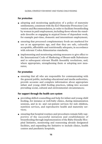#### **For protection**

- adopting and monitoring application of a policy of maternity entitlements, consistent with the ILO Maternity Protection Convention and Recommendation, in order to facilitate breastfeeding by women in paid employment, including those whom the standards describe as engaging in atypical forms of dependent work, for example part-time, domestic and intermittent employment;
- ensuring that processed complementary foods are marketed for use at an appropriate age, and that they are safe, culturally acceptable, affordable and nutritionally adequate, in accordance with relevant Codex Alimentarius standards;
- implementing and monitoring existing measures to give effect to the International Code of Marketing of Breast-milk Substitutes and to subsequent relevant Health Assembly resolutions, and, where appropriate, strengthening them or adopting new measures;

#### **For promotion**

• ensuring that all who are responsible for communicating with the general public, including educational and media authorities, provide accurate and complete information about appropriate infant and young child feeding practices, taking into account prevailing social, cultural and environmental circumstances;

### **For support through the health care system**

- providing skilled counselling and help for infant and young child feeding, for instance at well-baby clinics, during immunization sessions, and in in- and out-patient services for sick children, nutrition services, and reproductive health and maternity services;
- ensuring that hospital routines and procedures remain fully supportive of the successful initiation and establishment of breastfeeding through implementation of the Baby-friendly Hospital Initiative, monitoring and reassessing already designated facilities, and expanding the Initiative to include clinics, health centres and paediatric hospitals;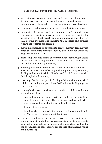- increasing access to antenatal care and education about breastfeeding, to delivery practices which support breastfeeding and to follow-up care which helps to ensure continued breastfeeding;
- promoting good nutrition for pregnant and lactating women;
- monitoring the growth and development of infants and young children as a routine nutrition intervention, with particular attention to low-birth-weight and sick infants and those born to HIV-positive mothers, and ensuring that mothers and families receive appropriate counselling;
- providing guidance on appropriate complementary feeding with emphasis on the use of suitable locally available foods which are prepared and fed safely;
- promoting adequate intake of essential nutrients through access to suitable – including fortified – local foods and, when necessary, micronutrient supplements;
- enabling mothers to remain with their hospitalized children to ensure continued breastfeeding and adequate complementary feeding and, where feasible, allow breastfed children to stay with their hospitalized mothers;
- ensuring effective therapeutic feeding of sick and malnourished children, including the provision of skilled breastfeeding support when required;
- training health workers who care for mothers, children and families with regard to:
	- counselling and assistance skills needed for breastfeeding, complementary feeding, HIV and infant feeding and, when necessary, feeding with a breast-milk substitute,
	- feeding during illness,
	- health workers' responsibilities under the International Code of Marketing of Breast-milk Substitutes;
- revising and reforming pre-service curricula for all health workers, nutritionists and allied professionals to provide appropriate information and advice on infant and young child feeding for use by families and those involved in the field of infant and young child nutrition;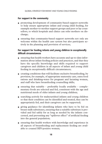#### **For support in the community**

- promoting development of community-based support networks to help ensure appropriate infant and young child feeding, for example mother-to-mother support groups and peer or lay counsellors, to which hospitals and clinics can refer mothers on discharge;
- ensuring that community-based support networks not only are welcome within the health care system but also participate actively in the planning and provision of services;

## **For support for feeding infants and young children in exceptionally difficult circumstances**

- ensuring that health workers have accurate and up-to-date information about infant feeding policies and practices, and that they have the specific knowledge and skills required to support caregivers and children in all aspects of infant and young child feeding in exceptionally difficult circumstances;
- creating conditions that will facilitate exclusive breastfeeding, by provision, for example, of appropriate maternity care, extra food rations and drinking-water for pregnant and lactating women, and staff who have breastfeeding counselling skills;
- $\bullet$  ensuring that suitable preferably locally available complementary foods are selected and fed, consistent with the age and nutritional needs of older infants and young children;
- searching actively for malnourished infants and young children so that their condition can be identified and treated, they can be appropriately fed, and their caregivers can be supported;
- giving guidance for identifying infants who have to be fed on breast-milk substitutes, ensuring that a suitable substitute is provided and fed safely for as long as needed by the infants concerned, and preventing any "spillover effect" of artificial feeding into the general population;
- ensuring that health workers with knowledge and experience in all aspects of breastfeeding and replacement feeding are available to counsel HIV-positive women;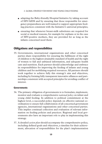- adapting the Baby-friendly Hospital Initiative by taking account of HIV/AIDS and by ensuring that those responsible for emergency preparedness are well trained to support appropriate feeding practices consistent with the Initiative's universal principles;
- ensuring that whenever breast-milk substitutes are required for social or medical reasons, for example for orphans or in the case of HIV-positive mothers, they are provided for as long as the infants concerned need them.

# **Obligations and responsibilities**

35. Governments, international organizations and other concerned parties share responsibility for ensuring the fulfilment of the right of children to the highest attainable standard of health and the right of women to full and unbiased information, and adequate health care and nutrition. Each partner should acknowledge and embrace its responsibilities for improving the feeding of infants and young children and for mobilizing required resources. All partners should work together to achieve fully this strategy's aim and objectives, including by forming fully transparent innovative alliances and partnerships consistent with accepted principles for avoiding conflict of interest.

#### **Governments**

- 36. The primary obligation of governments is to formulate, implement, monitor and evaluate a comprehensive *national policy* on infant and young child feeding. In addition to political commitment at the highest level, a successful policy depends on effective national coordination to ensure full collaboration of all concerned government agencies, international organizations and other concerned parties. This implies continual collection and evaluation of relevant information on feeding policies and practices. Regional and local governments also have an important role to play in implementing this strategy.
- 37. A detailed *action plan* should accompany the comprehensive policy, including defined goals and objectives, a timeline for their achievement, allocation of responsibilities for the plan's implementation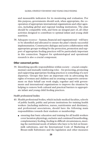and measurable indicators for its monitoring and evaluation. For this purpose, governments should seek, when appropriate, the cooperation of appropriate international organizations and other agencies, including global and regional lending institutions. The plan should be compatible with, and form an integral part of, all other activities designed to contribute to optimal infant and young child nutrition.

38. Adequate *resources* – human, financial and organizational – will have to be identified and allocated to ensure the plan's timely successful implementation. Constructive dialogue and active collaboration with appropriate groups working for the protection, promotion and support of appropriate feeding practices will be particularly important in this connection. Support for epidemiological and operational research is also a crucial component.

#### **Other concerned parties**

39. Identifying specific responsibilities within society – crucial complementary and mutually reinforcing roles – for protecting, promoting and supporting appropriate feeding practices is something of a new departure. Groups that have an important role in advocating the rights of women and children and in creating a supportive environment on their behalf can work singly, together and with governments and international organizations to improve the situation by helping to remove both cultural and practical barriers to appropriate infant and young child feeding practices.

Health professional bodies

- 40. Health professional bodies, which include medical faculties, schools of public health, public and private institutions for training health workers (including midwives, nurses, nutritionists and dietitians), and professional associations, should have the following main responsibilities towards their students or membership:
	- ensuring that basic education and training for all health workers cover lactation physiology, exclusive and continued breastfeeding, complementary feeding, feeding in difficult circumstances, meeting the nutritional needs of infants who have to be fed on breastmilk substitutes, and the International Code of Marketing of Breast-milk Substitutes and the legislation and other measures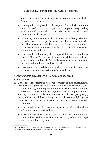adopted to give effect to it and to subsequent relevant Health Assembly resolutions;

- training in how to provide skilled support for exclusive and continued breastfeeding, and appropriate complementary feeding in all neonatal, paediatric, reproductive health, nutritional and community health services;
- promoting achievement and maintenance of "baby-friendly" status by maternity hospitals, wards and clinics, consistent with the "Ten steps to successful breastfeeding"1 and the principle of not accepting free or low-cost supplies of breast-milk substitutes, feeding bottles and teats;
- observing, in their entirety, their responsibilities under the International Code of Marketing of Breast-milk Substitutes and subsequent relevant Health Assembly resolutions, and national measures adopted to give effect to both;
- encouraging the establishment and recognition of community support groups and referring mothers to them.

Nongovernmental organizations including community-based support groups

- 41. The aims and objectives of a wide variety of nongovernmental organizations operating locally, nationally and internationally include promoting the adequate food and nutrition needs of young children and families. For example, charitable and religious organizations, consumer associations, mother-to-mother support groups, family clubs, and child-care cooperatives all have multiple opportunities to contribute to the implementation of this strategy through, for example:
	- providing their members accurate, up-to-date information about infant and young child feeding;
	- integrating skilled support for infant and young child feeding in community-based interventions and ensuring effective linkages with the health care system;

<sup>1</sup> *Protecting, promoting and supporting breastfeeding: the special role of maternity services*. A joint WHO/UNICEF statement. Geneva, WHO, 1989.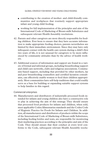- contributing to the creation of mother- and child-friendly communities and workplaces that routinely support appropriate infant and young child feeding;
- working for full implementation of the principles and aim of the International Code of Marketing of Breast-milk Substitutes and subsequent relevant Health Assembly resolutions.
- 42. Parents and other caregivers are most directly responsible for feeding children. Ever keen to ensure that they have accurate information to make appropriate feeding choices, parents nevertheless are limited by their immediate environment. Since they may have only infrequent contact with the health care system during a child's first two years of life, it is not unusual for caregivers to be more influenced by community attitudes than by the advice of health workers.
- 43. Additional sources of information and support are found in a variety of formal and informal groups, including breastfeeding-support and child-care networks, clubs and religious associations. Community-based support, including that provided by other mothers, lay and peer breastfeeding counsellors and certified lactation consultants, can effectively enable women to feed their children appropriately. Most communities have self-help traditions that could readily serve as a base for building or expanding suitable support systems to help families in this regard.

Commercial enterprises

44. Manufacturers and distributors of industrially processed foods intended for infants and young children also have a constructive role to play in achieving the aim of this strategy. They should ensure that processed food products for infants and children, when sold, meet applicable Codex Alimentarius standards and the Codex Code of Hygienic Practice for Foods for Infants and Children. In addition, all manufacturers and distributors of products within the scope of the International Code of Marketing of Breast-milk Substitutes, including feeding bottles and teats, are responsible for monitoring their marketing practices according to the principles and aim of the Code. They should ensure that their conduct at every level conforms to the Code, subsequent relevant Health Assembly resolu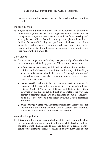tions, and national measures that have been adopted to give effect to both.

The social partners

45. *Employers* should ensure that maternity entitlements of all women in paid employment are met, including breastfeeding breaks or other workplace arrangements – for example facilities for expressing and storing breast milk for later feeding by a caregiver – in order to facilitate breast-milk feeding once paid maternity leave is over. *Trade unions* have a direct role in negotiating adequate maternity entitlements and security of employment for women of reproductive age (see paragraphs 28 and 34).

Other groups

- 46. Many other components of society have potentially influential roles in promoting good feeding practices. These elements include:
	- *education authorities*, which help to shape the attitudes of children and adolescents about infant and young child feeding – accurate information should be provided through schools and other educational channels to promote greater awareness and positive perceptions;
	- *mass media*, which influence popular attitudes towards parenting, child care and products within the scope of the International Code of Marketing of Breast-milk Substitutes – their information on the subject and, just as important, the way they portray parenting, childcare and products should be accurate, up to date, objective, and consistent with the Code's principles and aim;
	- *child-care facilities*, which permit working mothers to care for their infants and young children, should support and facilitate continued breastfeeding and breast-milk feeding.

International organizations

47. International organizations, including global and regional lending institutions, should place infant and young child feeding high on the global public health agenda in recognition of its central significance for realizing the rights of children and women; they should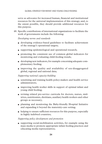serve as advocates for increased human, financial and institutional resources for the universal implementation of this strategy; and, to the extent possible, they should provide additional resources for this purpose.

48. Specific contributions of international organizations to facilitate the work of governments include the following:

#### *Developing norms and standards*

- developing evidence-based guidelines to facilitate achievement of the strategy's operational targets;
- supporting epidemiological and operational research;
- promoting the consistent use of common global indicators for monitoring and evaluating child-feeding trends;
- developing new indicators, for example concerning adequate complementary feeding;
- improving the quality and availability of sex-disaggregated global, regional and national data;

*Supporting national capacity-building*

- sensitizing and training health policy-makers and health service administrators;
- improving health worker skills in support of optimal infant and young child feeding;
- revising related pre-service curricula for doctors, nurses, midwives, nutritionists, dietitians, auxiliary health workers and other groups as necessary;
- planning and monitoring the Baby-friendly Hospital Initiative and expanding it beyond the maternity-care setting;
- helping to ensure sufficient resources for this purpose, especially in highly indebted countries;

#### *Supporting policy development and promotion*

• supporting social-mobilization activities, for example using the mass media to promote appropriate infant feeding practices and educating media representatives;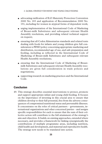- advocating ratification of ILO Maternity Protection Convention 2000 No. 183 and application of Recommendation 2000 No. 191, including for women in atypical forms of dependent work;
- urging implementation of the International Code of Marketing of Breast-milk Substitutes and subsequent relevant Health Assembly resolutions, and providing related technical support on request;
- ensuring that all Codex Alimentarius standards and related texts dealing with foods for infants and young children give full consideration to WHO policy concerning appropriate marketing and distribution, recommended age of use, and safe preparation and feeding, including as reflected in the International Code of Marketing of Breast-milk Substitutes and subsequent relevant Health Assembly resolutions;
- ensuring that the International Code of Marketing of Breastmilk Substitutes and subsequent relevant Health Assembly resolutions are given full consideration in trade policies and negotiations;
- supporting research on marketing practices and the International Code.

# **Conclusion**

49. This strategy describes essential interventions to protect, promote and support appropriate infant and young child feeding. It focuses on the importance of investing in this crucial area to ensure that children develop to their full potential, free from the adverse consequences of compromised nutritional status and preventable illnesses. It concentrates on the roles of critical partners – governments, international organizations and other concerned parties – and assigns specific responsibilities for each to ensure that the sum of their collective action will contribute to the full attainment of the strategy's aim and objectives. It builds on existing approaches, extended where necessary, and provides a framework for linking synergistically the contributions of multiple programme areas, including nutrition, child health and development, and maternal and reproductive health. The strategy now needs to be translated into action.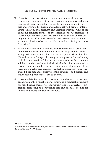- 50. There is convincing evidence from around the world that governments, with the support of the international community and other concerned parties, are taking seriously their commitments to protect and promote the health and nutritional well-being of infants, young children, and pregnant and lactating women.<sup>1</sup> One of the enduring tangible results of the International Conference on Nutrition, namely the World Declaration on Nutrition, offers a challenging vision of a world transformed. Meanwhile, its Plan of Action for Nutrition charts a credible course for achieving this transformation<sup>2</sup>
- 51. In the decade since its adoption, 159 Member States (83%) have demonstrated their determination to act by preparing or strengthening their national nutrition policies and plans. More than half (59%) have included specific strategies to improve infant and young child feeding practices. This encouraging result needs to be consolidated, and expanded to include *all* Member States, even as it is reviewed and updated to ensure that it takes full account of the present comprehensive agenda. Clearly, however, much more is required if the aim and objectives of this strategy – and present and future feeding challenges – are to be met.
- 52. This global strategy provides governments and society's other main agents with both a valuable opportunity and a practical instrument for rededicating themselves, individually and collectively, to protecting, promoting and supporting safe and adequate feeding for infants and young children everywhere.

<sup>&</sup>lt;sup>1</sup> Document  $A55/14$ .

<sup>2</sup> *World Declaration and Plan of Action for Nutrition*. International Conference on Nutrition, Rome, FAO and WHO, 1992.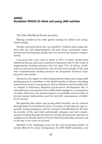## **ANNEX Resolution WHA55.25 Infant and young child nutrition**

The Fifty-fifth World Health Assembly,

Having considered the draft global strategy for infant and youngchild feeding;

Deeply concerned about the vast numbers of infants and young children who are still inappropriately fed and whose nutritional status, growth and development, health and very survival are thereby compromised;

Conscious that every year as much as 55% of infant deaths from diarrhoeal disease and acute respiratory infections may be the result of inappropriate feeding practices, that less than 35% of infants worldwide are exclusively breastfed for even the first four months of life, and that complementary feeding practices are frequently ill-timed, inappropriate and unsafe;

Alarmed at the degree to which inappropriate infant and young-child feeding practices contribute to the global burden of disease, including malnutrition and its consequences such as blindness and mortality due to vitamin A deficiency, impaired psychomotor development due to iron deficiency and anaemia, irreversible brain damage as a consequence of iodine deficiency, the massive impact on morbidity and mortality of protein-energy malnutrition, and the later-life consequences of childhood obesity;

Recognizing that infant and young-child mortality can be reduced through improved nutritional status of women of reproductive age, especially during pregnancy, and by exclusive breastfeeding for the first six months of life, and with nutritionally adequate and safe complementary feeding through introduction of safe and adequate amounts of indigenous foodstuffs and local foods while breastfeeding continues up to the age of two years or beyond;

Mindful of the challenges posed by the ever-increasing number of people affected by major emergencies, the HIV/AIDS pandemic, and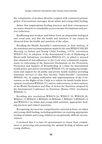the complexities of modern lifestyles coupled with continued promulgation of inconsistent messages about infant and young-child feeding;

Aware that inappropriate feeding practices and their consequences are major obstacles to sustainable socioeconomic development and poverty reduction;

Reaffirming that mothers and babies form an inseparable biological and social unit, and that the health and nutrition of one cannot be divorced from the health and nutrition of the other;

Recalling the Health Assembly's endorsement, in their entirety, of the statement and recommendations made by the joint WHO/UNICEF Meeting on Infant and Young Child Feeding (1979) (resolution WHA33.32); its adoption of the International Code of Marketing of Breast-milk Substitutes (resolution WHA34.22), in which it stressed that adoption of and adherence to the Code were a minimum requirement; its welcoming of the Innocenti Declaration on the Protection, Promotion and Support of Breastfeeding as a basis for international health policy and action (resolution WHA44.33); its urging encouragement and support for all public and private health facilities providing maternity services so that they become "baby-friendly" (resolution WHA45.34); its urging ratification and implementation of the Convention on the Rights of the Child as a vehicle for family health development (resolution WHA46.27); and its endorsement, in their entirety, of the World Declaration and Plan of Action for Nutrition adopted by the International Conference on Nutrition (Rome, 1992) (resolution WHA46.7);

Recalling also resolutions WHA35.26, WHA37.30, WHA39.28, WHA41.11, WHA43.3, WHA45.34, WHA46.7, WHA47.5, WHA49.15 and WHA54.2 on infant and young-child nutrition, appropriate feeding practices and related questions;

Recognizing the need for comprehensive national policies on infant and young-child feeding, including guidelines on ensuring appropriate feeding of infants and young children in exceptionally difficult circumstances;

Convinced that it is time for governments to renew their commitment to protecting and promoting the optimal feeding of infants and young children,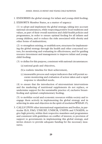- 1. ENDORSES the global strategy for infant and young-child feeding;
- 2. EXHORTS Member States, as a matter of urgency:

(1) to adopt and implement the global strategy, taking into account national circumstances, while respecting positive local traditions and values, as part of their overall nutrition and child-health policies and programmes, in order to ensure optimal feeding for all infants and young children, and to reduce the risks associated with obesity and other forms of malnutrition;

(2) to strengthen existing, or establish new, structures for implementing the global strategy through the health and other concerned sectors, for monitoring and evaluating its effectiveness, and for guiding resource investment and management to improve infant and youngchild feeding;

- (3) to define for this purpose, consistent with national circumstances:
	- (a) national goals and objectives,
	- (b)a realistic timeline for their achievement,
	- (c) measurable process and output indicators that will permit accurate monitoring and evaluation of action taken and a rapid response to identified needs;

(4) to ensure that the introduction of micronutrient interventions and the marketing of nutritional supplements do not replace, or undermine support for the sustainable practice of, exclusive breastfeeding and optimal complementary feeding;

(5) to mobilize social and economic resources within society and to engage them actively in implementing the global strategy and in achieving its aims and objectives in the spirit of resolution WHA49.15;

3. CALLS UPON other international organizations and bodies, in particular ILO, FAO, UNICEF, UNHCR, UNFPA and UNAIDS, to give high priority, within their respective mandates and programmes and consistent with guidelines on conflict of interest, to provision of support to governments in implementing this global strategy, and invites donors to provide adequate funding for the necessary measures;